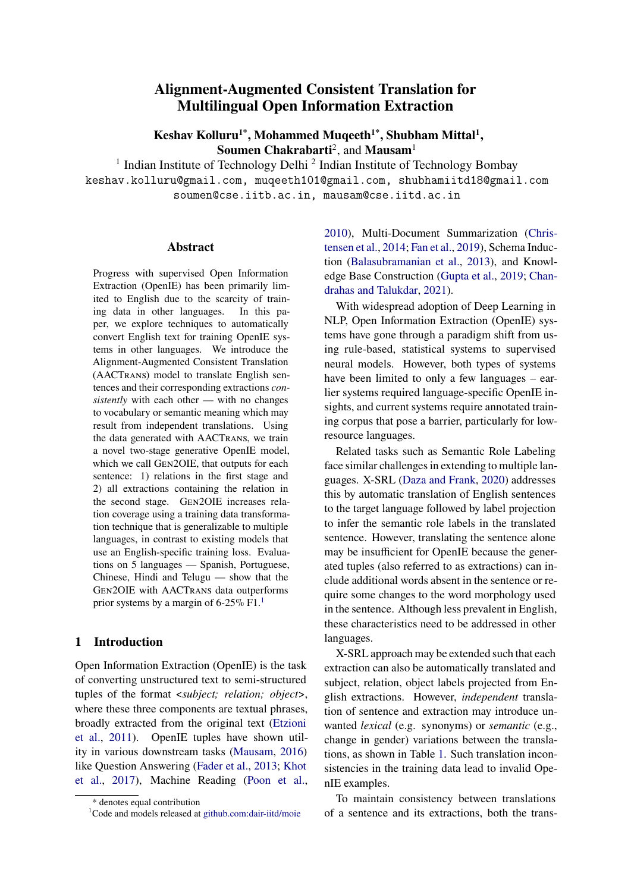# **Alignment-Augmented Consistent Translation for Multilingual Open Information Extraction**

**Keshav Kolluru1\*, Mohammed Muqeeth1\*, Shubham Mittal<sup>1</sup> , Soumen Chakrabarti**<sup>2</sup> , and **Mausam**<sup>1</sup>

<sup>1</sup> Indian Institute of Technology Delhi<sup>2</sup> Indian Institute of Technology Bombay keshav.kolluru@gmail.com, muqeeth101@gmail.com, shubhamiitd18@gmail.com soumen@cse.iitb.ac.in, mausam@cse.iitd.ac.in

#### **Abstract**

Progress with supervised Open Information Extraction (OpenIE) has been primarily limited to English due to the scarcity of training data in other languages. In this paper, we explore techniques to automatically convert English text for training OpenIE systems in other languages. We introduce the Alignment-Augmented Consistent Translation (AACTRANS) model to translate English sentences and their corresponding extractions *consistently* with each other — with no changes to vocabulary or semantic meaning which may result from independent translations. Using the data generated with AACTRANS, we train a novel two-stage generative OpenIE model, which we call GEN2OIE, that outputs for each sentence: 1) relations in the first stage and 2) all extractions containing the relation in the second stage. GEN2OIE increases relation coverage using a training data transformation technique that is generalizable to multiple languages, in contrast to existing models that use an English-specific training loss. Evaluations on 5 languages — Spanish, Portuguese, Chinese, Hindi and Telugu — show that the GEN2OIE with AACTRANS data outperforms prior systems by a margin of  $6-25\%$  F[1](#page-0-0).<sup>1</sup>

#### **1 Introduction**

Open Information Extraction (OpenIE) is the task of converting unstructured text to semi-structured tuples of the format <*subject; relation; object*>, where these three components are textual phrases, broadly extracted from the original text ([Etzioni](#page-9-0) [et al.,](#page-9-0) [2011\)](#page-9-0). OpenIE tuples have shown utility in various downstream tasks [\(Mausam,](#page-10-0) [2016](#page-10-0)) like Question Answering ([Fader et al.](#page-9-1), [2013;](#page-9-1) [Khot](#page-10-1) [et al.](#page-10-1), [2017\)](#page-10-1), Machine Reading [\(Poon et al.,](#page-10-2) [2010\)](#page-10-2), Multi-Document Summarization ([Chris](#page-9-2)[tensen et al.](#page-9-2), [2014;](#page-9-2) [Fan et al.](#page-9-3), [2019\)](#page-9-3), Schema Induction [\(Balasubramanian et al.,](#page-8-0) [2013\)](#page-8-0), and Knowledge Base Construction ([Gupta et al.,](#page-9-4) [2019;](#page-9-4) [Chan](#page-9-5)[drahas and Talukdar](#page-9-5), [2021\)](#page-9-5).

With widespread adoption of Deep Learning in NLP, Open Information Extraction (OpenIE) systems have gone through a paradigm shift from using rule-based, statistical systems to supervised neural models. However, both types of systems have been limited to only a few languages – earlier systems required language-specific OpenIE insights, and current systems require annotated training corpus that pose a barrier, particularly for lowresource languages.

Related tasks such as Semantic Role Labeling face similar challenges in extending to multiple languages. X-SRL ([Daza and Frank,](#page-9-6) [2020](#page-9-6)) addresses this by automatic translation of English sentences to the target language followed by label projection to infer the semantic role labels in the translated sentence. However, translating the sentence alone may be insufficient for OpenIE because the generated tuples (also referred to as extractions) can include additional words absent in the sentence or require some changes to the word morphology used in the sentence. Although less prevalent in English, these characteristics need to be addressed in other languages.

X-SRL approach may be extended such that each extraction can also be automatically translated and subject, relation, object labels projected from English extractions. However, *independent* translation of sentence and extraction may introduce unwanted *lexical* (e.g. synonyms) or *semantic* (e.g., change in gender) variations between the translations, as shown in Table [1.](#page-1-0) Such translation inconsistencies in the training data lead to invalid OpenIE examples.

To maintain consistency between translations of a sentence and its extractions, both the trans-

<sup>\*</sup> denotes equal contribution

<span id="page-0-0"></span><sup>1</sup>Code and models released at [github.com:dair-iitd/moie](https://github.com/dair-iitd/moie.git)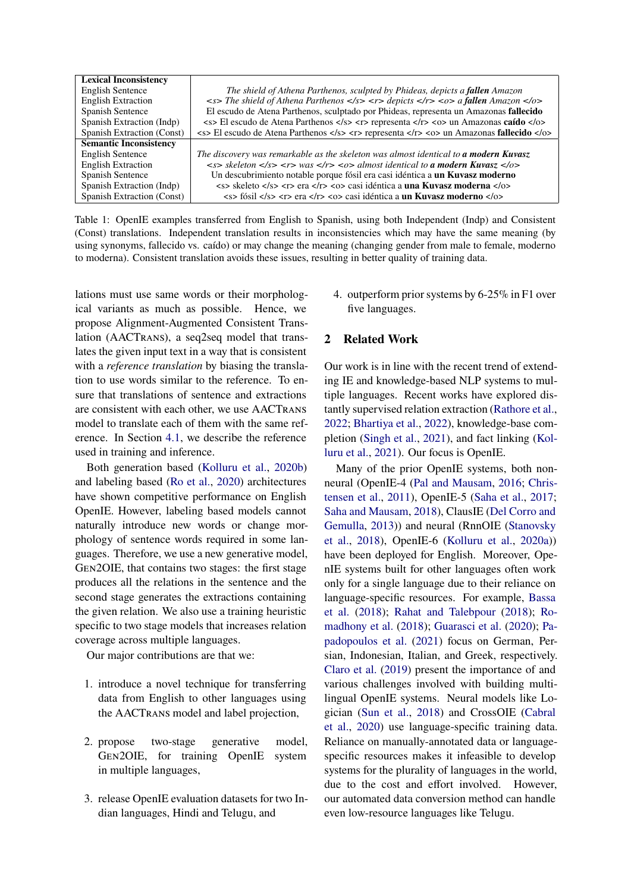<span id="page-1-0"></span>

| <b>Lexical Inconsistency</b>  |                                                                                                                                                                                         |
|-------------------------------|-----------------------------------------------------------------------------------------------------------------------------------------------------------------------------------------|
| <b>English Sentence</b>       | The shield of Athena Parthenos, sculpted by Phideas, depicts a fallen Amazon                                                                                                            |
| <b>English Extraction</b>     | $\langle$ -s> The shield of Athena Parthenos $\langle$ /s> $\langle$ r> depicts $\langle$ /r> $\langle$ o> a fallen Amazon $\langle$ /o>                                                |
| Spanish Sentence              | El escudo de Atena Parthenos, sculptado por Phideas, representa un Amazonas fallecido                                                                                                   |
| Spanish Extraction (Indp)     | <s> El escudo de Atena Parthenos </s> <r> representa </r> <o> un Amazonas <b>caído</b> </o>                                                                                             |
| Spanish Extraction (Const)    | $\langle$ s> El escudo de Atena Parthenos $\langle$ /s> $\langle$ r> representa $\langle$ /r> $\langle$ o> un Amazonas <b>fallecido</b> $\langle$ /o>                                   |
| <b>Semantic Inconsistency</b> |                                                                                                                                                                                         |
| <b>English Sentence</b>       | The discovery was remarkable as the skeleton was almost identical to <b>a modern Kuvasz</b>                                                                                             |
| <b>English Extraction</b>     | $\langle s \rangle$ skeleton $\langle s \rangle$ $\langle r \rangle$ was $\langle r \rangle$ $\langle \circ \rangle$ almost identical to <b>a modern Kuvasz</b> $\langle \circ \rangle$ |
| Spanish Sentence              | Un descubrimiento notable porque fósil era casi idéntica a un Kuvasz moderno                                                                                                            |
| Spanish Extraction (Indp)     | <s> skeleto </s> <r> era </r> <o> casi idéntica a una Kuvasz moderna </o>                                                                                                               |
| Spanish Extraction (Const)    | $\langle$ s> fósil $\langle$ /s> $\langle$ r> era $\langle$ /r> $\langle$ o> casi idéntica a <b>un Kuvasz moderno</b> $\langle$ /o>                                                     |

Table 1: OpenIE examples transferred from English to Spanish, using both Independent (Indp) and Consistent (Const) translations. Independent translation results in inconsistencies which may have the same meaning (by using synonyms, fallecido vs. caído) or may change the meaning (changing gender from male to female, moderno to moderna). Consistent translation avoids these issues, resulting in better quality of training data.

lations must use same words or their morphological variants as much as possible. Hence, we propose Alignment-Augmented Consistent Translation (AACTRANS), a seq2seq model that translates the given input text in a way that is consistent with a *reference translation* by biasing the translation to use words similar to the reference. To ensure that translations of sentence and extractions are consistent with each other, we use AACTRANS model to translate each of them with the same reference. In Section [4.1](#page-2-0), we describe the reference used in training and inference.

Both generation based ([Kolluru et al.,](#page-10-3) [2020b](#page-10-3)) and labeling based ([Ro et al.](#page-10-4), [2020](#page-10-4)) architectures have shown competitive performance on English OpenIE. However, labeling based models cannot naturally introduce new words or change morphology of sentence words required in some languages. Therefore, we use a new generative model, GEN2OIE, that contains two stages: the first stage produces all the relations in the sentence and the second stage generates the extractions containing the given relation. We also use a training heuristic specific to two stage models that increases relation coverage across multiple languages.

Our major contributions are that we:

- 1. introduce a novel technique for transferring data from English to other languages using the AACTRANS model and label projection,
- 2. propose two-stage generative model, GEN2OIE, for training OpenIE system in multiple languages,
- 3. release OpenIE evaluation datasets for two Indian languages, Hindi and Telugu, and

4. outperform prior systems by 6-25% in F1 over five languages.

### **2 Related Work**

Our work is in line with the recent trend of extending IE and knowledge-based NLP systems to multiple languages. Recent works have explored distantly supervised relation extraction ([Rathore et al.](#page-10-5), [2022;](#page-10-5) [Bhartiya et al.](#page-9-7), [2022](#page-9-7)), knowledge-base completion [\(Singh et al.](#page-11-0), [2021](#page-11-0)), and fact linking ([Kol](#page-10-6)[luru et al.,](#page-10-6) [2021](#page-10-6)). Our focus is OpenIE.

Many of the prior OpenIE systems, both nonneural (OpenIE-4 [\(Pal and Mausam](#page-10-7), [2016](#page-10-7); [Chris](#page-9-8)[tensen et al.](#page-9-8), [2011](#page-9-8)), OpenIE-5 ([Saha et al.](#page-11-1), [2017](#page-11-1); [Saha and Mausam](#page-10-8), [2018](#page-10-8)), ClausIE [\(Del Corro and](#page-9-9) [Gemulla,](#page-9-9) [2013\)](#page-9-9)) and neural (RnnOIE [\(Stanovsky](#page-11-2) [et al.](#page-11-2), [2018\)](#page-11-2), OpenIE-6 ([Kolluru et al.,](#page-10-9) [2020a\)](#page-10-9)) have been deployed for English. Moreover, OpenIE systems built for other languages often work only for a single language due to their reliance on language-specific resources. For example, [Bassa](#page-8-1) [et al.](#page-8-1) ([2018](#page-8-1)); [Rahat and Talebpour](#page-10-10) ([2018](#page-10-10)); [Ro](#page-10-11)[madhony et al.](#page-10-11) [\(2018\)](#page-10-11); [Guarasci et al.](#page-9-10) [\(2020](#page-9-10)); [Pa](#page-10-12)[padopoulos et al.](#page-10-12) [\(2021](#page-10-12)) focus on German, Persian, Indonesian, Italian, and Greek, respectively. [Claro et al.](#page-9-11) ([2019\)](#page-9-11) present the importance of and various challenges involved with building multilingual OpenIE systems. Neural models like Logician [\(Sun et al.,](#page-11-3) [2018](#page-11-3)) and CrossOIE [\(Cabral](#page-9-12) [et al.](#page-9-12), [2020\)](#page-9-12) use language-specific training data. Reliance on manually-annotated data or languagespecific resources makes it infeasible to develop systems for the plurality of languages in the world, due to the cost and effort involved. However, our automated data conversion method can handle even low-resource languages like Telugu.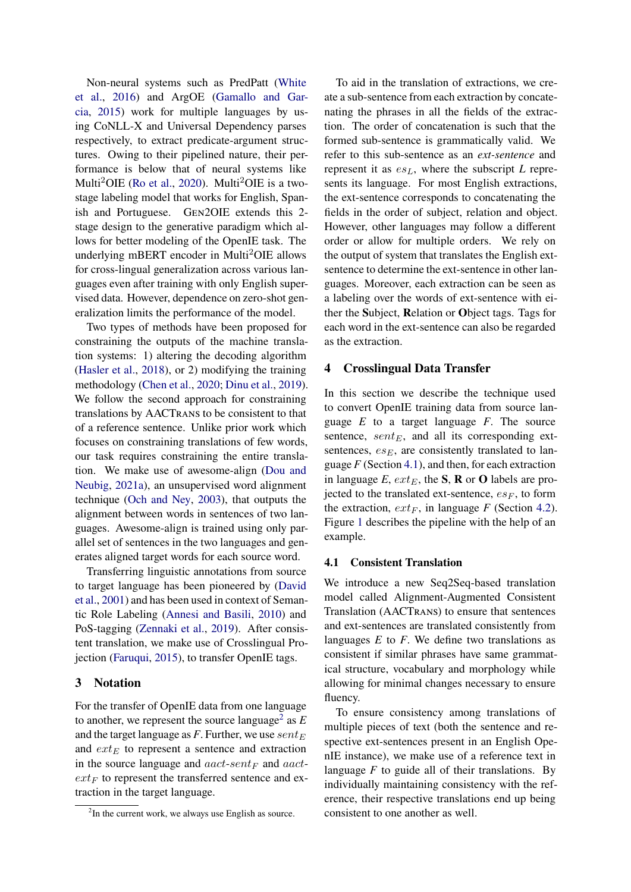Non-neural systems such as PredPatt [\(White](#page-11-4) [et al.](#page-11-4), [2016](#page-11-4)) and ArgOE ([Gamallo and Gar](#page-9-13)[cia,](#page-9-13) [2015](#page-9-13)) work for multiple languages by using CoNLL-X and Universal Dependency parses respectively, to extract predicate-argument structures. Owing to their pipelined nature, their performance is below that of neural systems like Multi<sup>2</sup>OIE ([Ro et al.](#page-10-4), [2020](#page-10-4)). Multi<sup>2</sup>OIE is a twostage labeling model that works for English, Spanish and Portuguese. GEN2OIE extends this 2 stage design to the generative paradigm which allows for better modeling of the OpenIE task. The underlying mBERT encoder in Multi<sup>2</sup>OIE allows for cross-lingual generalization across various languages even after training with only English supervised data. However, dependence on zero-shot generalization limits the performance of the model.

Two types of methods have been proposed for constraining the outputs of the machine translation systems: 1) altering the decoding algorithm [\(Hasler et al.,](#page-10-13) [2018](#page-10-13)), or 2) modifying the training methodology [\(Chen et al.,](#page-9-14) [2020](#page-9-14); [Dinu et al.,](#page-9-15) [2019\)](#page-9-15). We follow the second approach for constraining translations by AACTRANS to be consistent to that of a reference sentence. Unlike prior work which focuses on constraining translations of few words, our task requires constraining the entire translation. We make use of awesome-align [\(Dou and](#page-9-16) [Neubig,](#page-9-16) [2021a\)](#page-9-16), an unsupervised word alignment technique ([Och and Ney](#page-10-14), [2003\)](#page-10-14), that outputs the alignment between words in sentences of two languages. Awesome-align is trained using only parallel set of sentences in the two languages and generates aligned target words for each source word.

Transferring linguistic annotations from source to target language has been pioneered by ([David](#page-9-17) [et al.](#page-9-17), [2001\)](#page-9-17) and has been used in context of Semantic Role Labeling ([Annesi and Basili](#page-8-2), [2010\)](#page-8-2) and PoS-tagging ([Zennaki et al.,](#page-11-5) [2019](#page-11-5)). After consistent translation, we make use of Crosslingual Projection ([Faruqui,](#page-9-18) [2015\)](#page-9-18), to transfer OpenIE tags.

## **3 Notation**

For the transfer of OpenIE data from one language to another, we represent the source language<sup>[2](#page-2-1)</sup> as  $E$ and the target language as *F*. Further, we use  $sent_E$ and  $ext_E$  to represent a sentence and extraction in the source language and *aact*-*sent<sup>F</sup>* and *aact* $ext_F$  to represent the transferred sentence and extraction in the target language.

To aid in the translation of extractions, we create a sub-sentence from each extraction by concatenating the phrases in all the fields of the extraction. The order of concatenation is such that the formed sub-sentence is grammatically valid. We refer to this sub-sentence as an *ext-sentence* and represent it as *esL*, where the subscript *L* represents its language. For most English extractions, the ext-sentence corresponds to concatenating the fields in the order of subject, relation and object. However, other languages may follow a different order or allow for multiple orders. We rely on the output of system that translates the English extsentence to determine the ext-sentence in other languages. Moreover, each extraction can be seen as a labeling over the words of ext-sentence with either the **S**ubject, **R**elation or **O**bject tags. Tags for each word in the ext-sentence can also be regarded as the extraction.

#### <span id="page-2-2"></span>**4 Crosslingual Data Transfer**

In this section we describe the technique used to convert OpenIE training data from source language *E* to a target language *F*. The source sentence,  $sent_{E}$ , and all its corresponding extsentences,  $es_E$ , are consistently translated to language *F* (Section [4.1](#page-2-0)), and then, for each extraction in language *E*, *extE*, the **S**, **R** or **O** labels are projected to the translated ext-sentence,  $es_F$ , to form the extraction,  $ext{ext}_F$ , in language *F* (Section [4.2\)](#page-3-0). Figure [1](#page-3-1) describes the pipeline with the help of an example.

## <span id="page-2-0"></span>**4.1 Consistent Translation**

We introduce a new Seq2Seq-based translation model called Alignment-Augmented Consistent Translation (AACTRANS) to ensure that sentences and ext-sentences are translated consistently from languages *E* to *F*. We define two translations as consistent if similar phrases have same grammatical structure, vocabulary and morphology while allowing for minimal changes necessary to ensure fluency.

To ensure consistency among translations of multiple pieces of text (both the sentence and respective ext-sentences present in an English OpenIE instance), we make use of a reference text in language  $F$  to guide all of their translations. By individually maintaining consistency with the reference, their respective translations end up being consistent to one another as well.

<span id="page-2-1"></span> $2$ In the current work, we always use English as source.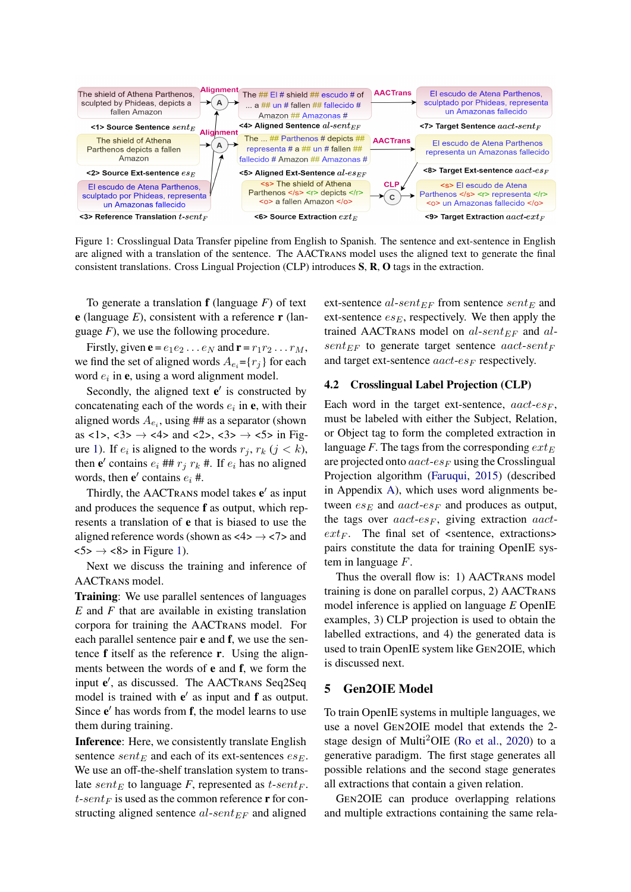<span id="page-3-1"></span>

Figure 1: Crosslingual Data Transfer pipeline from English to Spanish. The sentence and ext-sentence in English are aligned with a translation of the sentence. The AACTRANS model uses the aligned text to generate the final consistent translations. Cross Lingual Projection (CLP) introduces **S**, **R**, **O** tags in the extraction.

To generate a translation **f** (language *F*) of text **e** (language *E*), consistent with a reference **r** (language *F*), we use the following procedure.

Firstly, given  $\mathbf{e} = e_1 e_2 \dots e_N$  and  $\mathbf{r} = r_1 r_2 \dots r_M$ , we find the set of aligned words  $A_{e_i} = \{r_i\}$  for each word *e<sup>i</sup>* in **e**, using a word alignment model.

Secondly, the aligned text **e** *′* is constructed by concatenating each of the words  $e_i$  in  $e$ , with their aligned words  $A_{e_i}$ , using ## as a separator (shown as  $\langle 1 \rangle$ ,  $\langle 3 \rangle \rightarrow \langle 4 \rangle$  and  $\langle 2 \rangle$ ,  $\langle 3 \rangle \rightarrow \langle 5 \rangle$  in Fig-ure [1](#page-3-1)). If  $e_i$  is aligned to the words  $r_j$ ,  $r_k$  ( $j < k$ ), then  $e'$  contains  $e_i$  ##  $r_j$   $r_k$  #. If  $e_i$  has no aligned words, then  $e'$  contains  $e_i$  #.

Thirdly, the AACTRANS model takes **e** *′* as input and produces the sequence **f** as output, which represents a translation of **e** that is biased to use the aligned reference words (shown as  $\langle 4 \rangle \rightarrow \langle 7 \rangle$  and  $\langle 5 \rangle \rightarrow \langle 8 \rangle$  in Figure [1\)](#page-3-1).

Next we discuss the training and inference of AACTRANS model.

**Training**: We use parallel sentences of languages *E* and *F* that are available in existing translation corpora for training the AACTRANS model. For each parallel sentence pair **e** and **f**, we use the sentence **f** itself as the reference **r**. Using the alignments between the words of **e** and **f**, we form the input **e** *′* , as discussed. The AACTRANS Seq2Seq model is trained with **e** *′* as input and **f** as output. Since **e** *′* has words from **f**, the model learns to use them during training.

**Inference**: Here, we consistently translate English sentence *sent*<sub>*E*</sub> and each of its ext-sentences  $es_E$ . We use an off-the-shelf translation system to translate *sent*<sub>*E*</sub> to language *F*, represented as *t*-*sentF*.  $t$ -*sent* $F$  is used as the common reference **r** for constructing aligned sentence *al*-*sentEF* and aligned

ext-sentence *al*-*sentEF* from sentence *sent<sup>E</sup>* and ext-sentence  $es_E$ , respectively. We then apply the trained AACTRANS model on *al*-*sentEF* and *alsent* $_{EF}$  to generate target sentence *aact-sent* $_F$ and target ext-sentence *aact-es<sub>F</sub>* respectively.

#### <span id="page-3-0"></span>**4.2 Crosslingual Label Projection (CLP)**

Each word in the target ext-sentence,  $a \alpha c t - e \epsilon_F$ , must be labeled with either the Subject, Relation, or Object tag to form the completed extraction in language *F*. The tags from the corresponding *ext<sup>E</sup>* are projected onto *aact*-*es<sup>F</sup>* using the Crosslingual Projection algorithm [\(Faruqui,](#page-9-18) [2015](#page-9-18)) (described in Appendix [A\)](#page-12-0), which uses word alignments between  $es_E$  and  $aact-es_F$  and produces as output, the tags over *aact*-*es<sup>F</sup>* , giving extraction *aact* $ext{F}$ . The final set of  $ext{e}$  extractions> pairs constitute the data for training OpenIE system in language *F*.

Thus the overall flow is: 1) AACTRANS model training is done on parallel corpus, 2) AACTRANS model inference is applied on language *E* OpenIE examples, 3) CLP projection is used to obtain the labelled extractions, and 4) the generated data is used to train OpenIE system like GEN2OIE, which is discussed next.

#### **5 Gen2OIE Model**

To train OpenIE systems in multiple languages, we use a novel GEN2OIE model that extends the 2 stage design of Multi2OIE [\(Ro et al.](#page-10-4), [2020\)](#page-10-4) to a generative paradigm. The first stage generates all possible relations and the second stage generates all extractions that contain a given relation.

GEN2OIE can produce overlapping relations and multiple extractions containing the same rela-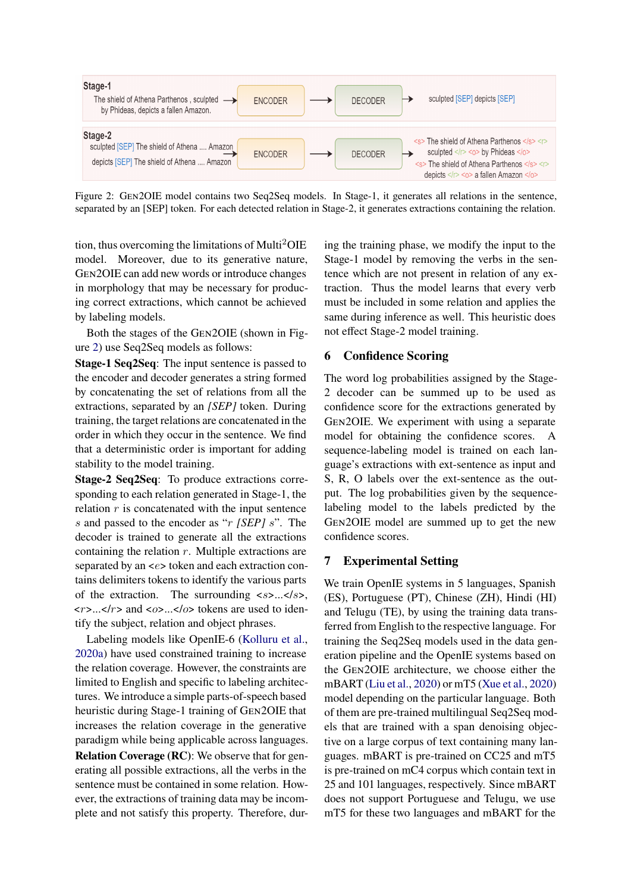<span id="page-4-0"></span>

Figure 2: GEN2OIE model contains two Seq2Seq models. In Stage-1, it generates all relations in the sentence, separated by an [SEP] token. For each detected relation in Stage-2, it generates extractions containing the relation.

tion, thus overcoming the limitations of Multi<sup>2</sup>OIE model. Moreover, due to its generative nature, GEN2OIE can add new words or introduce changes in morphology that may be necessary for producing correct extractions, which cannot be achieved by labeling models.

Both the stages of the GEN2OIE (shown in Figure [2\)](#page-4-0) use Seq2Seq models as follows:

**Stage-1 Seq2Seq**: The input sentence is passed to the encoder and decoder generates a string formed by concatenating the set of relations from all the extractions, separated by an *[SEP]* token. During training, the target relations are concatenated in the order in which they occur in the sentence. We find that a deterministic order is important for adding stability to the model training.

**Stage-2 Seq2Seq**: To produce extractions corresponding to each relation generated in Stage-1, the relation  $r$  is concatenated with the input sentence *s* and passed to the encoder as "*r [SEP] s*". The decoder is trained to generate all the extractions containing the relation *r*. Multiple extractions are separated by an <*e*> token and each extraction contains delimiters tokens to identify the various parts of the extraction. The surrounding <*s*>...</*s*>, <*r*>...</*r*> and <*o*>...</*o*> tokens are used to identify the subject, relation and object phrases.

Labeling models like OpenIE-6 ([Kolluru et al.,](#page-10-9) [2020a\)](#page-10-9) have used constrained training to increase the relation coverage. However, the constraints are limited to English and specific to labeling architectures. We introduce a simple parts-of-speech based heuristic during Stage-1 training of GEN2OIE that increases the relation coverage in the generative paradigm while being applicable across languages. **Relation Coverage (RC)**: We observe that for generating all possible extractions, all the verbs in the sentence must be contained in some relation. However, the extractions of training data may be incomplete and not satisfy this property. Therefore, during the training phase, we modify the input to the Stage-1 model by removing the verbs in the sentence which are not present in relation of any extraction. Thus the model learns that every verb must be included in some relation and applies the same during inference as well. This heuristic does not effect Stage-2 model training.

## <span id="page-4-1"></span>**6 Confidence Scoring**

The word log probabilities assigned by the Stage-2 decoder can be summed up to be used as confidence score for the extractions generated by GEN2OIE. We experiment with using a separate model for obtaining the confidence scores. A sequence-labeling model is trained on each language's extractions with ext-sentence as input and S, R, O labels over the ext-sentence as the output. The log probabilities given by the sequencelabeling model to the labels predicted by the GEN2OIE model are summed up to get the new confidence scores.

## **7 Experimental Setting**

We train OpenIE systems in 5 languages, Spanish (ES), Portuguese (PT), Chinese (ZH), Hindi (HI) and Telugu (TE), by using the training data transferred from English to the respective language. For training the Seq2Seq models used in the data generation pipeline and the OpenIE systems based on the GEN2OIE architecture, we choose either the mBART [\(Liu et al.,](#page-10-15) [2020](#page-10-15)) or mT5 ([Xue et al.](#page-11-6), [2020\)](#page-11-6) model depending on the particular language. Both of them are pre-trained multilingual Seq2Seq models that are trained with a span denoising objective on a large corpus of text containing many languages. mBART is pre-trained on CC25 and mT5 is pre-trained on mC4 corpus which contain text in 25 and 101 languages, respectively. Since mBART does not support Portuguese and Telugu, we use mT5 for these two languages and mBART for the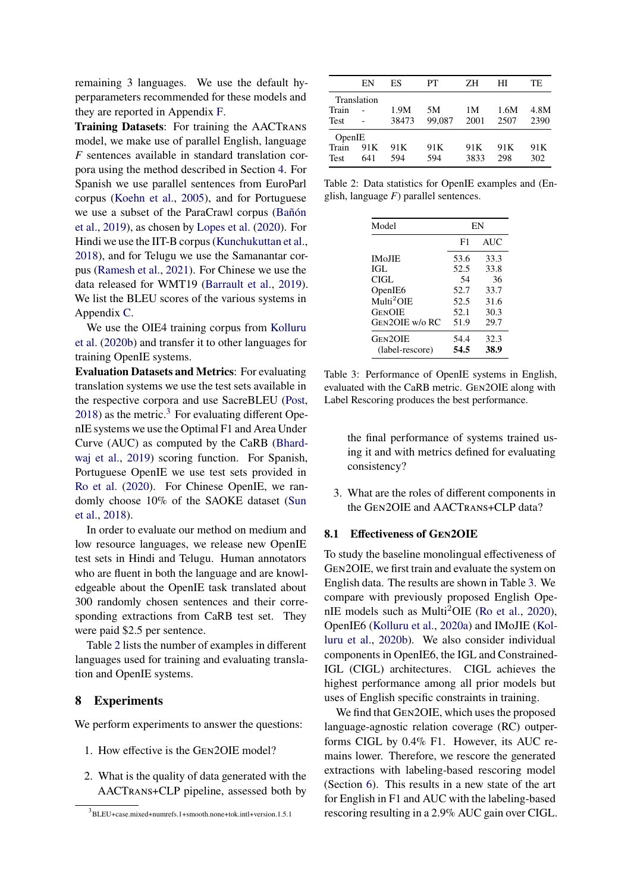remaining 3 languages. We use the default hyperparameters recommended for these models and they are reported in Appendix [F](#page-14-0).

**Training Datasets**: For training the AACTRANS model, we make use of parallel English, language *F* sentences available in standard translation corpora using the method described in Section [4.](#page-2-2) For Spanish we use parallel sentences from EuroParl corpus [\(Koehn et al.](#page-10-16), [2005\)](#page-10-16), and for Portuguese we use a subset of the ParaCrawl corpus ([Bañón](#page-8-3) [et al.,](#page-8-3) [2019](#page-8-3)), as chosen by [Lopes et al.](#page-10-17) ([2020](#page-10-17)). For Hindi we use the IIT-B corpus [\(Kunchukuttan et al.,](#page-10-18) [2018\)](#page-10-18), and for Telugu we use the Samanantar corpus [\(Ramesh et al.](#page-10-19), [2021](#page-10-19)). For Chinese we use the data released for WMT19 ([Barrault et al.](#page-8-4), [2019\)](#page-8-4). We list the BLEU scores of the various systems in Appendix [C.](#page-12-1)

We use the OIE4 training corpus from [Kolluru](#page-10-3) [et al.](#page-10-3) [\(2020b\)](#page-10-3) and transfer it to other languages for training OpenIE systems.

**Evaluation Datasets and Metrics**: For evaluating translation systems we use the test sets available in the respective corpora and use SacreBLEU [\(Post,](#page-10-20)  $2018$ ) as the metric.<sup>[3](#page-5-0)</sup> For evaluating different OpenIE systems we use the Optimal F1 and Area Under Curve (AUC) as computed by the CaRB ([Bhard](#page-9-19)[waj et al.,](#page-9-19) [2019\)](#page-9-19) scoring function. For Spanish, Portuguese OpenIE we use test sets provided in [Ro et al.](#page-10-4) ([2020\)](#page-10-4). For Chinese OpenIE, we randomly choose 10% of the SAOKE dataset [\(Sun](#page-11-3) [et al.](#page-11-3), [2018](#page-11-3)).

In order to evaluate our method on medium and low resource languages, we release new OpenIE test sets in Hindi and Telugu. Human annotators who are fluent in both the language and are knowledgeable about the OpenIE task translated about 300 randomly chosen sentences and their corresponding extractions from CaRB test set. They were paid \$2.5 per sentence.

Table [2](#page-5-1) lists the number of examples in different languages used for training and evaluating translation and OpenIE systems.

## **8 Experiments**

We perform experiments to answer the questions:

- 1. How effective is the GEN2OIE model?
- 2. What is the quality of data generated with the AACTRANS+CLP pipeline, assessed both by

<span id="page-5-1"></span>

|        | EN          | ES              | PТ              | ΖH   | HІ   | TF.             |
|--------|-------------|-----------------|-----------------|------|------|-----------------|
|        | Translation |                 |                 |      |      |                 |
| Train  |             | 1.9M            | 5M              | 1 M  | 1.6M | 4.8M            |
| Test   |             | 38473           | 99,087          | 2001 | 2507 | 2390            |
| OpenIE |             |                 |                 |      |      |                 |
| Train  | 91 K        | 91 <sub>K</sub> | 91 <sub>K</sub> | 91 K | 91K  | 91 <sub>K</sub> |
| Test   | 641         | 594             | 594             | 3833 | 298  | 302             |
|        |             |                 |                 |      |      |                 |

<span id="page-5-2"></span>Table 2: Data statistics for OpenIE examples and (English, language *F*) parallel sentences.

| Model                       | EN   |            |  |  |  |
|-----------------------------|------|------------|--|--|--|
|                             | F1   | <b>AUC</b> |  |  |  |
| <b>IMoJJE</b>               | 53.6 | 33.3       |  |  |  |
| IGL                         | 52.5 | 33.8       |  |  |  |
| CIGL.                       | 54   | 36         |  |  |  |
| OpenIE <sub>6</sub>         | 52.7 | 33.7       |  |  |  |
| $\text{Multi}^2 \text{OIE}$ | 52.5 | 31.6       |  |  |  |
| <b>GENOIE</b>               | 52.1 | 30.3       |  |  |  |
| Gen2OIE w/o RC              | 51.9 | 29.7       |  |  |  |
| Gen2OIE                     | 54.4 | 32.3       |  |  |  |
| (label-rescore)             | 54.5 | 38.9       |  |  |  |

Table 3: Performance of OpenIE systems in English, evaluated with the CaRB metric. GEN2OIE along with Label Rescoring produces the best performance.

the final performance of systems trained using it and with metrics defined for evaluating consistency?

3. What are the roles of different components in the GEN2OIE and AACTRANS+CLP data?

## **8.1 Effectiveness of GEN2OIE**

To study the baseline monolingual effectiveness of GEN2OIE, we first train and evaluate the system on English data. The results are shown in Table [3.](#page-5-2) We compare with previously proposed English Ope-nIE models such as Multi<sup>2</sup>OIE [\(Ro et al.](#page-10-4), [2020](#page-10-4)), OpenIE6 ([Kolluru et al.,](#page-10-9) [2020a\)](#page-10-9) and IMoJIE ([Kol](#page-10-3)[luru et al.,](#page-10-3) [2020b\)](#page-10-3). We also consider individual components in OpenIE6, the IGL and Constrained-IGL (CIGL) architectures. CIGL achieves the highest performance among all prior models but uses of English specific constraints in training.

We find that GEN2OIE, which uses the proposed language-agnostic relation coverage (RC) outperforms CIGL by 0.4% F1. However, its AUC remains lower. Therefore, we rescore the generated extractions with labeling-based rescoring model (Section [6](#page-4-1)). This results in a new state of the art for English in F1 and AUC with the labeling-based rescoring resulting in a 2.9% AUC gain over CIGL.

<span id="page-5-0"></span><sup>3</sup> BLEU+case.mixed+numrefs.1+smooth.none+tok.intl+version.1.5.1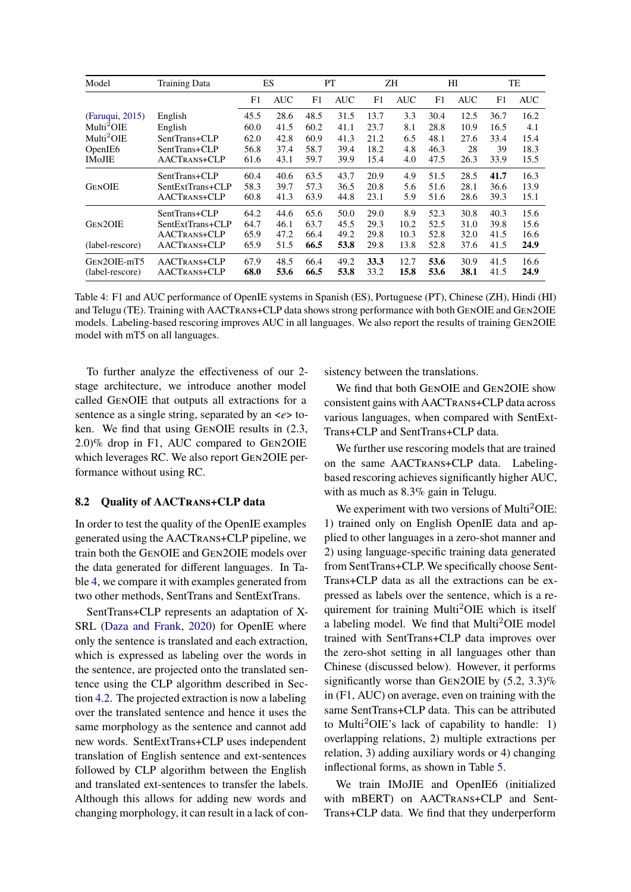<span id="page-6-0"></span>

| Model                  | <b>Training Data</b> |      | ES         |      | <b>PT</b>  |      | ΖH   |      | HI         |      | TE         |
|------------------------|----------------------|------|------------|------|------------|------|------|------|------------|------|------------|
|                        |                      | F1   | <b>AUC</b> | F1   | <b>AUC</b> | F1   | AUC  | F1   | <b>AUC</b> | F1   | <b>AUC</b> |
| (Faruqui, 2015)        | English              | 45.5 | 28.6       | 48.5 | 31.5       | 13.7 | 3.3  | 30.4 | 12.5       | 36.7 | 16.2       |
| Multi <sup>2</sup> OIE | English              | 60.0 | 41.5       | 60.2 | 41.1       | 23.7 | 8.1  | 28.8 | 10.9       | 16.5 | 4.1        |
| Multi <sup>2</sup> OIE | SentTrans+CLP        | 62.0 | 42.8       | 60.9 | 41.3       | 21.2 | 6.5  | 48.1 | 27.6       | 33.4 | 15.4       |
| OpenIE <sub>6</sub>    | SentTrans+CLP        | 56.8 | 37.4       | 58.7 | 39.4       | 18.2 | 4.8  | 46.3 | 28         | 39   | 18.3       |
| <b>IMoJIE</b>          | AACTRANS+CLP         | 61.6 | 43.1       | 59.7 | 39.9       | 15.4 | 4.0  | 47.5 | 26.3       | 33.9 | 15.5       |
|                        | SentTrans+CLP        | 60.4 | 40.6       | 63.5 | 43.7       | 20.9 | 4.9  | 51.5 | 28.5       | 41.7 | 16.3       |
| <b>GENOIE</b>          | SentExtTrans+CLP     | 58.3 | 39.7       | 57.3 | 36.5       | 20.8 | 5.6  | 51.6 | 28.1       | 36.6 | 13.9       |
|                        | AACTRANS+CLP         | 60.8 | 41.3       | 63.9 | 44.8       | 23.1 | 5.9  | 51.6 | 28.6       | 39.3 | 15.1       |
|                        | SentTrans+CLP        | 64.2 | 44.6       | 65.6 | 50.0       | 29.0 | 8.9  | 52.3 | 30.8       | 40.3 | 15.6       |
| GEN2OIE                | SentExtTrans+CLP     | 64.7 | 46.1       | 63.7 | 45.5       | 29.3 | 10.2 | 52.5 | 31.0       | 39.8 | 15.6       |
|                        | AACTRANS+CLP         | 65.9 | 47.2       | 66.4 | 49.2       | 29.8 | 10.3 | 52.8 | 32.0       | 41.5 | 16.6       |
| (label-rescore)        | AACTRANS+CLP         | 65.9 | 51.5       | 66.5 | 53.8       | 29.8 | 13.8 | 52.8 | 37.6       | 41.5 | 24.9       |
| GEN2OIE-mT5            | AACTRANS+CLP         | 67.9 | 48.5       | 66.4 | 49.2       | 33.3 | 12.7 | 53.6 | 30.9       | 41.5 | 16.6       |
| (label-rescore)        | AACTRANS+CLP         | 68.0 | 53.6       | 66.5 | 53.8       | 33.2 | 15.8 | 53.6 | 38.1       | 41.5 | 24.9       |

Table 4: F1 and AUC performance of OpenIE systems in Spanish (ES), Portuguese (PT), Chinese (ZH), Hindi (HI) and Telugu (TE). Training with AACTRANS+CLP data shows strong performance with both GENOIE and GEN2OIE models. Labeling-based rescoring improves AUC in all languages. We also report the results of training GEN2OIE model with mT5 on all languages.

To further analyze the effectiveness of our 2 stage architecture, we introduce another model called GENOIE that outputs all extractions for a sentence as a single string, separated by an <*e*> token. We find that using GENOIE results in (2.3, 2.0)% drop in F1, AUC compared to GEN2OIE which leverages RC. We also report GEN2OIE performance without using RC.

#### **8.2 Quality of AACTRANS+CLP data**

In order to test the quality of the OpenIE examples generated using the AACTRANS+CLP pipeline, we train both the GENOIE and GEN2OIE models over the data generated for different languages. In Table [4,](#page-6-0) we compare it with examples generated from two other methods, SentTrans and SentExtTrans.

SentTrans+CLP represents an adaptation of X-SRL ([Daza and Frank,](#page-9-6) [2020\)](#page-9-6) for OpenIE where only the sentence is translated and each extraction, which is expressed as labeling over the words in the sentence, are projected onto the translated sentence using the CLP algorithm described in Section [4.2.](#page-3-0) The projected extraction is now a labeling over the translated sentence and hence it uses the same morphology as the sentence and cannot add new words. SentExtTrans+CLP uses independent translation of English sentence and ext-sentences followed by CLP algorithm between the English and translated ext-sentences to transfer the labels. Although this allows for adding new words and changing morphology, it can result in a lack of consistency between the translations.

We find that both GENOIE and GEN2OIE show consistent gains with AACTRANS+CLP data across various languages, when compared with SentExt-Trans+CLP and SentTrans+CLP data.

We further use rescoring models that are trained on the same AACTRANS+CLP data. Labelingbased rescoring achieves significantly higher AUC, with as much as 8.3% gain in Telugu.

We experiment with two versions of Multi<sup>2</sup>OIE: 1) trained only on English OpenIE data and applied to other languages in a zero-shot manner and 2) using language-specific training data generated from SentTrans+CLP. We specifically choose Sent-Trans+CLP data as all the extractions can be expressed as labels over the sentence, which is a requirement for training Multi2OIE which is itself a labeling model. We find that Multi2OIE model trained with SentTrans+CLP data improves over the zero-shot setting in all languages other than Chinese (discussed below). However, it performs significantly worse than GEN2OIE by  $(5.2, 3.3)\%$ in (F1, AUC) on average, even on training with the same SentTrans+CLP data. This can be attributed to Multi<sup>2</sup>OIE's lack of capability to handle: 1) overlapping relations, 2) multiple extractions per relation, 3) adding auxiliary words or 4) changing inflectional forms, as shown in Table [5.](#page-7-0)

We train IMoJIE and OpenIE6 (initialized with mBERT) on AACTRANS+CLP and Sent-Trans+CLP data. We find that they underperform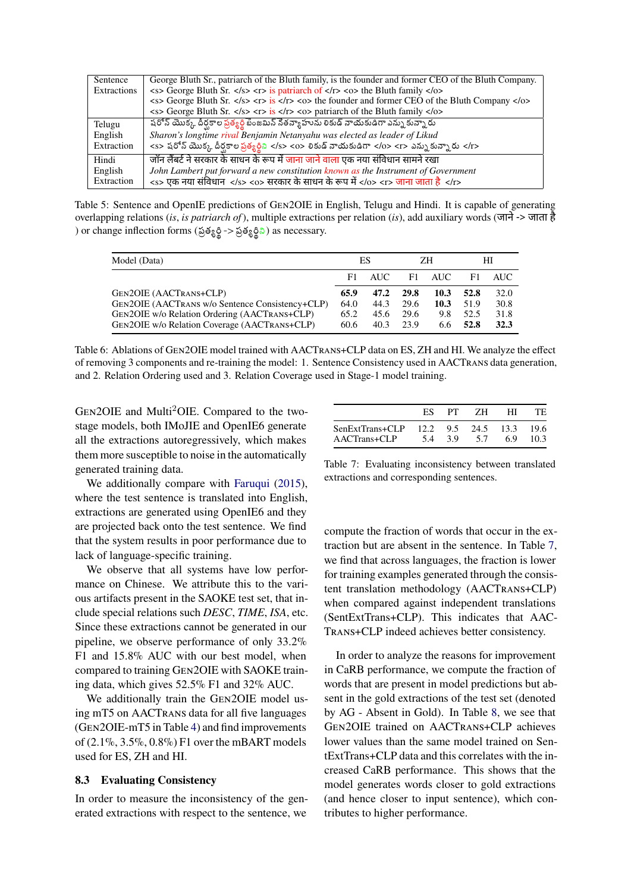<span id="page-7-0"></span>

| Sentence    | George Bluth Sr., patriarch of the Bluth family, is the founder and former CEO of the Bluth Company.                                                                                                                       |
|-------------|----------------------------------------------------------------------------------------------------------------------------------------------------------------------------------------------------------------------------|
| Extractions | $\langle$ <s> George Bluth Sr. <math>\langle</math>/s&gt; <math>\langle</math>r&gt; is patriarch of <math>\langle</math>/r&gt; <math>\langle</math>o&gt; the Bluth family <math>\langle</math>/o&gt;</s>                   |
|             | $\langle$ <s> George Bluth Sr. <math>\langle</math>/s&gt; <math>\langle</math>r&gt; is <math>\langle</math>/r&gt; <math>\langle</math>o&gt; the founder and former CEO of the Bluth Company <math>\langle</math>/o&gt;</s> |
|             | $\langle$ s> George Bluth Sr. $\langle$ /s> $\langle$ r> is $\langle$ /r> $\langle$ o> patriarch of the Bluth family $\langle$ /o>                                                                                         |
| Telugu      | షరోన్ యొక్క దీర్ఘకాల ప్రత్యర్థి బెంజమిన్ నేతన్యాహును లికుడ్ నాయకుడిగా ఎన్ను కున్నారు                                                                                                                                       |
| English     | Sharon's longtime rival Benjamin Netanyahu was elected as leader of Likud                                                                                                                                                  |
| Extraction  | <s> షరోన్ యొక్క దీర్ఘకాల ప్రత్యర్థిని </s> <0> లికుడ్ నాయకుడిగా 0 <r> ఎన్ను కున్నారు </r> >>                                                                                                                               |
| Hindi       | <u>जॉन लैंबर्ट ने सरकार के साधन के रूप में जाना जाने वाला एक नया संविधान सामने रखा</u>                                                                                                                                     |
| English     | John Lambert put forward a new constitution known as the Instrument of Government                                                                                                                                          |
| Extraction  | <s> एक नया संविधान </s> <o> सरकार के साधन के रूप में </o> <r> जाना जाता है </r>                                                                                                                                            |

Table 5: Sentence and OpenIE predictions of GEN2OIE in English, Telugu and Hindi. It is capable of generating overlapping relations (*is*, *is patriarch of*), multiple extractions per relation (*is*), add auxiliary words (जाने -> जाता है ) or change inflection forms (ప్రత్యర్థి -> ప్రత్యర్థిని) as necessary.

<span id="page-7-2"></span>

| Model (Data)                                                                                                                                                              | ES                           |                              | ΖH                           |                            | HІ                           |                              |
|---------------------------------------------------------------------------------------------------------------------------------------------------------------------------|------------------------------|------------------------------|------------------------------|----------------------------|------------------------------|------------------------------|
|                                                                                                                                                                           | F1.                          | AUC.                         | F1                           | AUC                        | F1.                          | AUC.                         |
| GEN2OIE (AACTRANS+CLP)<br>GEN2OIE (AACTRANS W/o Sentence Consistency+CLP)<br>GEN2OIE w/o Relation Ordering (AACTRANS+CLP)<br>GEN2OIE w/o Relation Coverage (AACTRANS+CLP) | 65.9<br>64.0<br>65.2<br>60.6 | 47.2<br>44.3<br>45.6<br>40.3 | 29.8<br>29.6<br>29.6<br>23.9 | 10.3<br>10.3<br>9.8<br>6.6 | 52.8<br>51.9<br>52.5<br>52.8 | 32.0<br>30.8<br>31.8<br>32.3 |

Table 6: Ablations of GEN2OIE model trained with AACTRANS+CLP data on ES, ZH and HI. We analyze the effect of removing 3 components and re-training the model: 1. Sentence Consistency used in AACTRANS data generation, and 2. Relation Ordering used and 3. Relation Coverage used in Stage-1 model training.

GEN2OIE and Multi2OIE. Compared to the twostage models, both IMoJIE and OpenIE6 generate all the extractions autoregressively, which makes them more susceptible to noise in the automatically generated training data.

We additionally compare with [Faruqui](#page-9-18) [\(2015](#page-9-18)), where the test sentence is translated into English, extractions are generated using OpenIE6 and they are projected back onto the test sentence. We find that the system results in poor performance due to lack of language-specific training.

We observe that all systems have low performance on Chinese. We attribute this to the various artifacts present in the SAOKE test set, that include special relations such *DESC*, *TIME*, *ISA*, etc. Since these extractions cannot be generated in our pipeline, we observe performance of only 33.2% F1 and 15.8% AUC with our best model, when compared to training GEN2OIE with SAOKE training data, which gives 52.5% F1 and 32% AUC.

We additionally train the GEN2OIE model using mT5 on AACTRANS data for all five languages (GEN2OIE-mT5 in Table [4\)](#page-6-0) and find improvements of (2.1%, 3.5%, 0.8%) F1 over the mBART models used for ES, ZH and HI.

#### **8.3 Evaluating Consistency**

In order to measure the inconsistency of the generated extractions with respect to the sentence, we

<span id="page-7-1"></span>

|                                                         | ES. | PТ | -ZH - | HТ | TЕ   |
|---------------------------------------------------------|-----|----|-------|----|------|
| SenExtTrans+CLP 12.2 9.5 24.5 13.3 19.6<br>AACTrans+CLP | 54  | 39 | 5.7   | 69 | 10.3 |

Table 7: Evaluating inconsistency between translated extractions and corresponding sentences.

compute the fraction of words that occur in the extraction but are absent in the sentence. In Table [7](#page-7-1), we find that across languages, the fraction is lower for training examples generated through the consistent translation methodology (AACTRANS+CLP) when compared against independent translations (SentExtTrans+CLP). This indicates that AAC-TRANS+CLP indeed achieves better consistency.

In order to analyze the reasons for improvement in CaRB performance, we compute the fraction of words that are present in model predictions but absent in the gold extractions of the test set (denoted by AG - Absent in Gold). In Table [8](#page-8-5), we see that GEN2OIE trained on AACTRANS+CLP achieves lower values than the same model trained on SentExtTrans+CLP data and this correlates with the increased CaRB performance. This shows that the model generates words closer to gold extractions (and hence closer to input sentence), which contributes to higher performance.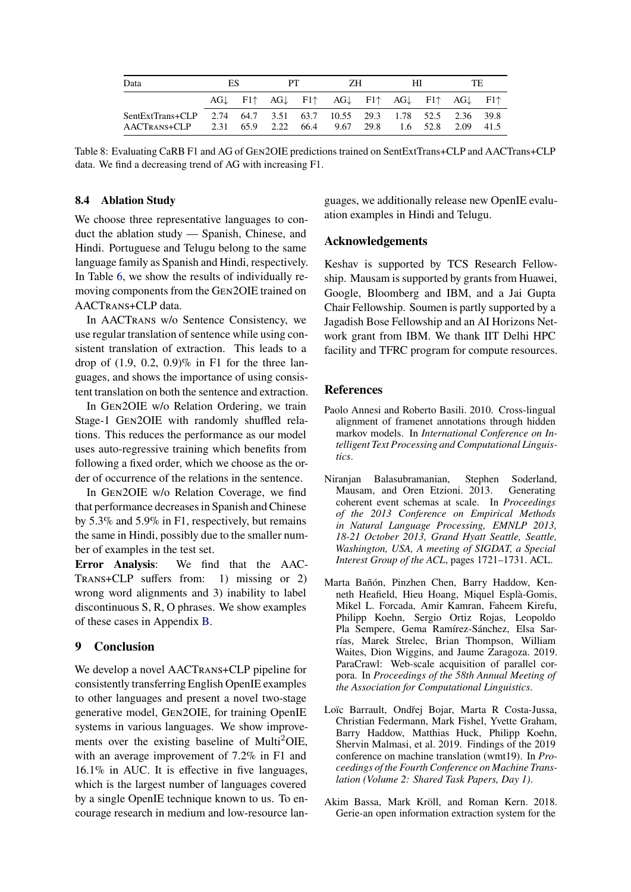<span id="page-8-5"></span>

| Data                                         | ES |  | PT. |  | ZΗ                                                                                                           |  | HГ |  | TF                   |  |
|----------------------------------------------|----|--|-----|--|--------------------------------------------------------------------------------------------------------------|--|----|--|----------------------|--|
|                                              |    |  |     |  | $AG\downarrow$ F1 $AG\downarrow$ F1 $AG\downarrow$ F1 $AG\downarrow$ F1 $AG\downarrow$ F1 AG $\downarrow$ F1 |  |    |  |                      |  |
| SentExtTrans+CLP<br>$AACTRANS+CLP$ 2.31 65.9 |    |  |     |  | 2.74 64.7 3.51 63.7 10.55 29.3 1.78 52.5 2.36 39.8<br>2.22 66.4 9.67 29.8                                    |  |    |  | $1.6$ 52.8 2.09 41.5 |  |

Table 8: Evaluating CaRB F1 and AG of GEN2OIE predictions trained on SentExtTrans+CLP and AACTrans+CLP data. We find a decreasing trend of AG with increasing F1.

#### **8.4 Ablation Study**

We choose three representative languages to conduct the ablation study — Spanish, Chinese, and Hindi. Portuguese and Telugu belong to the same language family as Spanish and Hindi, respectively. In Table [6,](#page-7-2) we show the results of individually removing components from the GEN2OIE trained on AACTRANS+CLP data.

In AACTRANS w/o Sentence Consistency, we use regular translation of sentence while using consistent translation of extraction. This leads to a drop of  $(1.9, 0.2, 0.9)$ % in F1 for the three languages, and shows the importance of using consistent translation on both the sentence and extraction.

In GEN2OIE w/o Relation Ordering, we train Stage-1 GEN2OIE with randomly shuffled relations. This reduces the performance as our model uses auto-regressive training which benefits from following a fixed order, which we choose as the order of occurrence of the relations in the sentence.

In GEN2OIE w/o Relation Coverage, we find that performance decreases in Spanish and Chinese by 5.3% and 5.9% in F1, respectively, but remains the same in Hindi, possibly due to the smaller number of examples in the test set.

**Error Analysis**: We find that the AAC-TRANS+CLP suffers from: 1) missing or 2) wrong word alignments and 3) inability to label discontinuous S, R, O phrases. We show examples of these cases in Appendix [B.](#page-12-2)

## **9 Conclusion**

We develop a novel AACTRANS+CLP pipeline for consistently transferring English OpenIE examples to other languages and present a novel two-stage generative model, GEN2OIE, for training OpenIE systems in various languages. We show improvements over the existing baseline of Multi<sup>2</sup>OIE, with an average improvement of 7.2% in F1 and 16.1% in AUC. It is effective in five languages, which is the largest number of languages covered by a single OpenIE technique known to us. To encourage research in medium and low-resource languages, we additionally release new OpenIE evaluation examples in Hindi and Telugu.

#### **Acknowledgements**

Keshav is supported by TCS Research Fellowship. Mausam is supported by grants from Huawei, Google, Bloomberg and IBM, and a Jai Gupta Chair Fellowship. Soumen is partly supported by a Jagadish Bose Fellowship and an AI Horizons Network grant from IBM. We thank IIT Delhi HPC facility and TFRC program for compute resources.

#### **References**

- <span id="page-8-2"></span>Paolo Annesi and Roberto Basili. 2010. Cross-lingual alignment of framenet annotations through hidden markov models. In *International Conference on Intelligent Text Processing and Computational Linguistics*.
- <span id="page-8-0"></span>Niranjan Balasubramanian, Stephen Soderland, Mausam, and Oren Etzioni. 2013. Generating coherent event schemas at scale. In *Proceedings of the 2013 Conference on Empirical Methods in Natural Language Processing, EMNLP 2013, 18-21 October 2013, Grand Hyatt Seattle, Seattle, Washington, USA, A meeting of SIGDAT, a Special Interest Group of the ACL*, pages 1721–1731. ACL.
- <span id="page-8-3"></span>Marta Bañón, Pinzhen Chen, Barry Haddow, Kenneth Heafield, Hieu Hoang, Miquel Esplà-Gomis, Mikel L. Forcada, Amir Kamran, Faheem Kirefu, Philipp Koehn, Sergio Ortiz Rojas, Leopoldo Pla Sempere, Gema Ramírez-Sánchez, Elsa Sarrías, Marek Strelec, Brian Thompson, William Waites, Dion Wiggins, and Jaume Zaragoza. 2019. ParaCrawl: Web-scale acquisition of parallel corpora. In *Proceedings of the 58th Annual Meeting of the Association for Computational Linguistics*.
- <span id="page-8-4"></span>Loïc Barrault, Ondřej Bojar, Marta R Costa-Jussa, Christian Federmann, Mark Fishel, Yvette Graham, Barry Haddow, Matthias Huck, Philipp Koehn, Shervin Malmasi, et al. 2019. Findings of the 2019 conference on machine translation (wmt19). In *Proceedings of the Fourth Conference on Machine Translation (Volume 2: Shared Task Papers, Day 1)*.
- <span id="page-8-1"></span>Akim Bassa, Mark Kröll, and Roman Kern. 2018. Gerie-an open information extraction system for the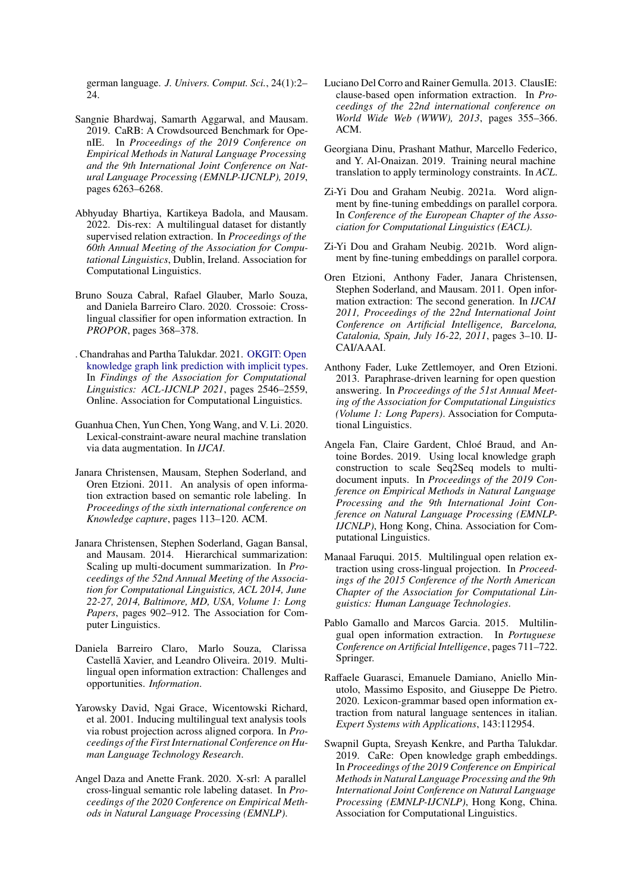german language. *J. Univers. Comput. Sci.*, 24(1):2– 24.

- <span id="page-9-19"></span>Sangnie Bhardwaj, Samarth Aggarwal, and Mausam. 2019. CaRB: A Crowdsourced Benchmark for OpenIE. In *Proceedings of the 2019 Conference on Empirical Methods in Natural Language Processing and the 9th International Joint Conference on Natural Language Processing (EMNLP-IJCNLP), 2019*, pages 6263–6268.
- <span id="page-9-7"></span>Abhyuday Bhartiya, Kartikeya Badola, and Mausam. 2022. Dis-rex: A multilingual dataset for distantly supervised relation extraction. In *Proceedings of the 60th Annual Meeting of the Association for Computational Linguistics*, Dublin, Ireland. Association for Computational Linguistics.
- <span id="page-9-12"></span>Bruno Souza Cabral, Rafael Glauber, Marlo Souza, and Daniela Barreiro Claro. 2020. Crossoie: Crosslingual classifier for open information extraction. In *PROPOR*, pages 368–378.
- <span id="page-9-5"></span>. Chandrahas and Partha Talukdar. 2021. [OKGIT: Open](https://doi.org/10.18653/v1/2021.findings-acl.225) [knowledge graph link prediction with implicit types](https://doi.org/10.18653/v1/2021.findings-acl.225). In *Findings of the Association for Computational Linguistics: ACL-IJCNLP 2021*, pages 2546–2559, Online. Association for Computational Linguistics.
- <span id="page-9-14"></span>Guanhua Chen, Yun Chen, Yong Wang, and V. Li. 2020. Lexical-constraint-aware neural machine translation via data augmentation. In *IJCAI*.
- <span id="page-9-8"></span>Janara Christensen, Mausam, Stephen Soderland, and Oren Etzioni. 2011. An analysis of open information extraction based on semantic role labeling. In *Proceedings of the sixth international conference on Knowledge capture*, pages 113–120. ACM.
- <span id="page-9-2"></span>Janara Christensen, Stephen Soderland, Gagan Bansal, and Mausam. 2014. Hierarchical summarization: Scaling up multi-document summarization. In *Proceedings of the 52nd Annual Meeting of the Association for Computational Linguistics, ACL 2014, June 22-27, 2014, Baltimore, MD, USA, Volume 1: Long Papers*, pages 902–912. The Association for Computer Linguistics.
- <span id="page-9-11"></span>Daniela Barreiro Claro, Marlo Souza, Clarissa Castellã Xavier, and Leandro Oliveira. 2019. Multilingual open information extraction: Challenges and opportunities. *Information*.
- <span id="page-9-17"></span>Yarowsky David, Ngai Grace, Wicentowski Richard, et al. 2001. Inducing multilingual text analysis tools via robust projection across aligned corpora. In *Proceedings of the First International Conference on Human Language Technology Research*.
- <span id="page-9-6"></span>Angel Daza and Anette Frank. 2020. X-srl: A parallel cross-lingual semantic role labeling dataset. In *Proceedings of the 2020 Conference on Empirical Methods in Natural Language Processing (EMNLP)*.
- <span id="page-9-9"></span>Luciano Del Corro and Rainer Gemulla. 2013. ClausIE: clause-based open information extraction. In *Proceedings of the 22nd international conference on World Wide Web (WWW), 2013*, pages 355–366. ACM.
- <span id="page-9-15"></span>Georgiana Dinu, Prashant Mathur, Marcello Federico, and Y. Al-Onaizan. 2019. Training neural machine translation to apply terminology constraints. In *ACL*.
- <span id="page-9-16"></span>Zi-Yi Dou and Graham Neubig. 2021a. Word alignment by fine-tuning embeddings on parallel corpora. In *Conference of the European Chapter of the Association for Computational Linguistics (EACL)*.
- <span id="page-9-20"></span>Zi-Yi Dou and Graham Neubig. 2021b. Word alignment by fine-tuning embeddings on parallel corpora.
- <span id="page-9-0"></span>Oren Etzioni, Anthony Fader, Janara Christensen, Stephen Soderland, and Mausam. 2011. Open information extraction: The second generation. In *IJCAI 2011, Proceedings of the 22nd International Joint Conference on Artificial Intelligence, Barcelona, Catalonia, Spain, July 16-22, 2011*, pages 3–10. IJ-CAI/AAAI.
- <span id="page-9-1"></span>Anthony Fader, Luke Zettlemoyer, and Oren Etzioni. 2013. Paraphrase-driven learning for open question answering. In *Proceedings of the 51st Annual Meeting of the Association for Computational Linguistics (Volume 1: Long Papers)*. Association for Computational Linguistics.
- <span id="page-9-3"></span>Angela Fan, Claire Gardent, Chloé Braud, and Antoine Bordes. 2019. Using local knowledge graph construction to scale Seq2Seq models to multidocument inputs. In *Proceedings of the 2019 Conference on Empirical Methods in Natural Language Processing and the 9th International Joint Conference on Natural Language Processing (EMNLP-IJCNLP)*, Hong Kong, China. Association for Computational Linguistics.
- <span id="page-9-18"></span>Manaal Faruqui. 2015. Multilingual open relation extraction using cross-lingual projection. In *Proceedings of the 2015 Conference of the North American Chapter of the Association for Computational Linguistics: Human Language Technologies*.
- <span id="page-9-13"></span>Pablo Gamallo and Marcos Garcia. 2015. Multilingual open information extraction. In *Portuguese Conference on Artificial Intelligence*, pages 711–722. Springer.
- <span id="page-9-10"></span>Raffaele Guarasci, Emanuele Damiano, Aniello Minutolo, Massimo Esposito, and Giuseppe De Pietro. 2020. Lexicon-grammar based open information extraction from natural language sentences in italian. *Expert Systems with Applications*, 143:112954.
- <span id="page-9-4"></span>Swapnil Gupta, Sreyash Kenkre, and Partha Talukdar. 2019. CaRe: Open knowledge graph embeddings. In *Proceedings of the 2019 Conference on Empirical Methods in Natural Language Processing and the 9th International Joint Conference on Natural Language Processing (EMNLP-IJCNLP)*, Hong Kong, China. Association for Computational Linguistics.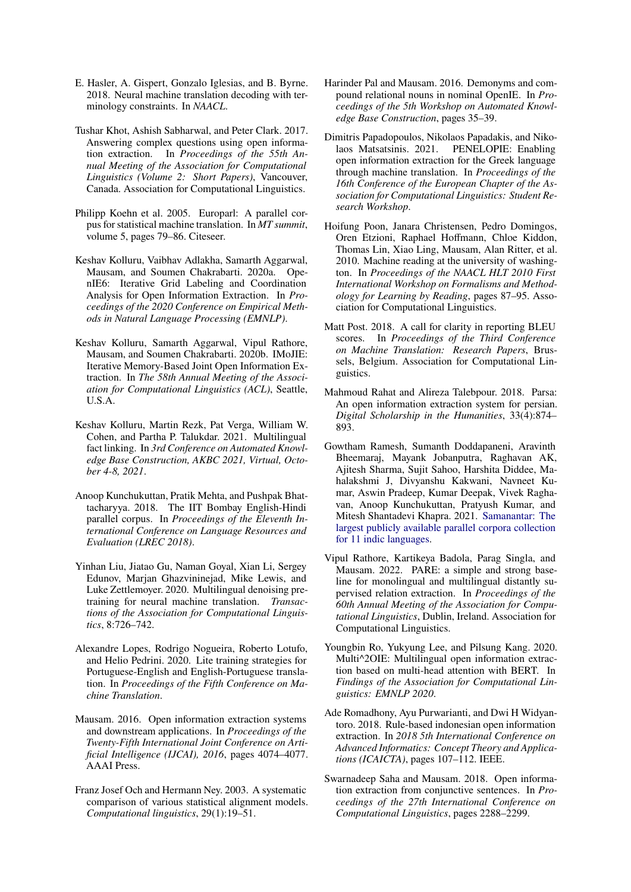- <span id="page-10-13"></span>E. Hasler, A. Gispert, Gonzalo Iglesias, and B. Byrne. 2018. Neural machine translation decoding with terminology constraints. In *NAACL*.
- <span id="page-10-1"></span>Tushar Khot, Ashish Sabharwal, and Peter Clark. 2017. Answering complex questions using open information extraction. In *Proceedings of the 55th Annual Meeting of the Association for Computational Linguistics (Volume 2: Short Papers)*, Vancouver, Canada. Association for Computational Linguistics.
- <span id="page-10-16"></span>Philipp Koehn et al. 2005. Europarl: A parallel corpus for statistical machine translation. In *MT summit*, volume 5, pages 79–86. Citeseer.
- <span id="page-10-9"></span>Keshav Kolluru, Vaibhav Adlakha, Samarth Aggarwal, Mausam, and Soumen Chakrabarti. 2020a. OpenIE6: Iterative Grid Labeling and Coordination Analysis for Open Information Extraction. In *Proceedings of the 2020 Conference on Empirical Methods in Natural Language Processing (EMNLP)*.
- <span id="page-10-3"></span>Keshav Kolluru, Samarth Aggarwal, Vipul Rathore, Mausam, and Soumen Chakrabarti. 2020b. IMoJIE: Iterative Memory-Based Joint Open Information Extraction. In *The 58th Annual Meeting of the Association for Computational Linguistics (ACL)*, Seattle, U.S.A.
- <span id="page-10-6"></span>Keshav Kolluru, Martin Rezk, Pat Verga, William W. Cohen, and Partha P. Talukdar. 2021. Multilingual fact linking. In *3rd Conference on Automated Knowledge Base Construction, AKBC 2021, Virtual, October 4-8, 2021*.
- <span id="page-10-18"></span>Anoop Kunchukuttan, Pratik Mehta, and Pushpak Bhattacharyya. 2018. The IIT Bombay English-Hindi parallel corpus. In *Proceedings of the Eleventh International Conference on Language Resources and Evaluation (LREC 2018)*.
- <span id="page-10-15"></span>Yinhan Liu, Jiatao Gu, Naman Goyal, Xian Li, Sergey Edunov, Marjan Ghazvininejad, Mike Lewis, and Luke Zettlemoyer. 2020. Multilingual denoising pretraining for neural machine translation. *Transactions of the Association for Computational Linguistics*, 8:726–742.
- <span id="page-10-17"></span>Alexandre Lopes, Rodrigo Nogueira, Roberto Lotufo, and Helio Pedrini. 2020. Lite training strategies for Portuguese-English and English-Portuguese translation. In *Proceedings of the Fifth Conference on Machine Translation*.
- <span id="page-10-0"></span>Mausam. 2016. Open information extraction systems and downstream applications. In *Proceedings of the Twenty-Fifth International Joint Conference on Artificial Intelligence (IJCAI), 2016*, pages 4074–4077. AAAI Press.
- <span id="page-10-14"></span>Franz Josef Och and Hermann Ney. 2003. A systematic comparison of various statistical alignment models. *Computational linguistics*, 29(1):19–51.
- <span id="page-10-7"></span>Harinder Pal and Mausam. 2016. Demonyms and compound relational nouns in nominal OpenIE. In *Proceedings of the 5th Workshop on Automated Knowledge Base Construction*, pages 35–39.
- <span id="page-10-12"></span>Dimitris Papadopoulos, Nikolaos Papadakis, and Nikolaos Matsatsinis. 2021. PENELOPIE: Enabling open information extraction for the Greek language through machine translation. In *Proceedings of the 16th Conference of the European Chapter of the Association for Computational Linguistics: Student Research Workshop*.
- <span id="page-10-2"></span>Hoifung Poon, Janara Christensen, Pedro Domingos, Oren Etzioni, Raphael Hoffmann, Chloe Kiddon, Thomas Lin, Xiao Ling, Mausam, Alan Ritter, et al. 2010. Machine reading at the university of washington. In *Proceedings of the NAACL HLT 2010 First International Workshop on Formalisms and Methodology for Learning by Reading*, pages 87–95. Association for Computational Linguistics.
- <span id="page-10-20"></span>Matt Post. 2018. A call for clarity in reporting BLEU scores. In *Proceedings of the Third Conference on Machine Translation: Research Papers*, Brussels, Belgium. Association for Computational Linguistics.
- <span id="page-10-10"></span>Mahmoud Rahat and Alireza Talebpour. 2018. Parsa: An open information extraction system for persian. *Digital Scholarship in the Humanities*, 33(4):874– 893.
- <span id="page-10-19"></span>Gowtham Ramesh, Sumanth Doddapaneni, Aravinth Bheemaraj, Mayank Jobanputra, Raghavan AK, Ajitesh Sharma, Sujit Sahoo, Harshita Diddee, Mahalakshmi J, Divyanshu Kakwani, Navneet Kumar, Aswin Pradeep, Kumar Deepak, Vivek Raghavan, Anoop Kunchukuttan, Pratyush Kumar, and Mitesh Shantadevi Khapra. 2021. [Samanantar: The](http://arxiv.org/abs/2104.05596) [largest publicly available parallel corpora collection](http://arxiv.org/abs/2104.05596) [for 11 indic languages](http://arxiv.org/abs/2104.05596).
- <span id="page-10-5"></span>Vipul Rathore, Kartikeya Badola, Parag Singla, and Mausam. 2022. PARE: a simple and strong baseline for monolingual and multilingual distantly supervised relation extraction. In *Proceedings of the 60th Annual Meeting of the Association for Computational Linguistics*, Dublin, Ireland. Association for Computational Linguistics.
- <span id="page-10-4"></span>Youngbin Ro, Yukyung Lee, and Pilsung Kang. 2020. Multi<sup>^2</sup>OIE: Multilingual open information extraction based on multi-head attention with BERT. In *Findings of the Association for Computational Linguistics: EMNLP 2020*.
- <span id="page-10-11"></span>Ade Romadhony, Ayu Purwarianti, and Dwi H Widyantoro. 2018. Rule-based indonesian open information extraction. In *2018 5th International Conference on Advanced Informatics: Concept Theory and Applications (ICAICTA)*, pages 107–112. IEEE.
- <span id="page-10-8"></span>Swarnadeep Saha and Mausam. 2018. Open information extraction from conjunctive sentences. In *Proceedings of the 27th International Conference on Computational Linguistics*, pages 2288–2299.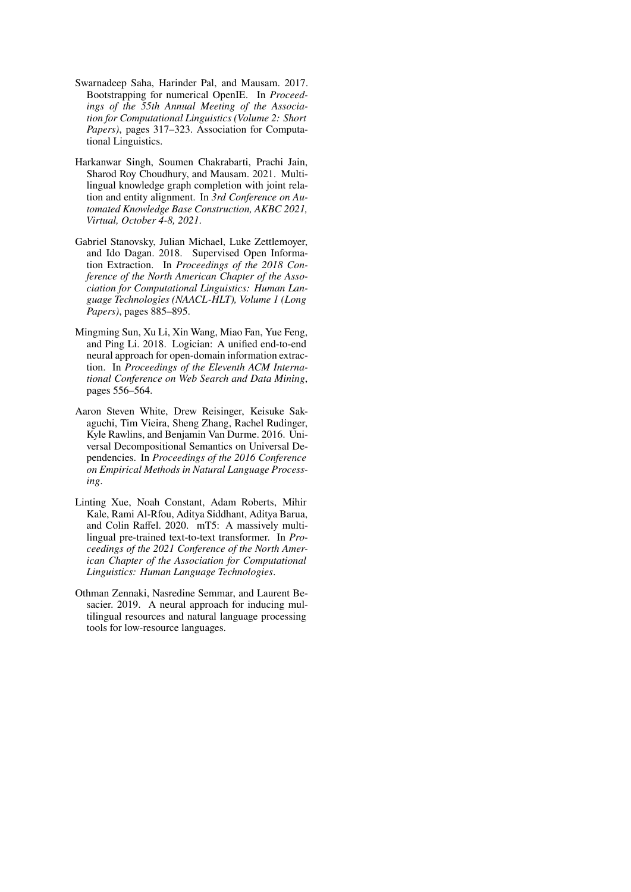- <span id="page-11-1"></span>Swarnadeep Saha, Harinder Pal, and Mausam. 2017. Bootstrapping for numerical OpenIE. In *Proceedings of the 55th Annual Meeting of the Association for Computational Linguistics (Volume 2: Short Papers)*, pages 317–323. Association for Computational Linguistics.
- <span id="page-11-0"></span>Harkanwar Singh, Soumen Chakrabarti, Prachi Jain, Sharod Roy Choudhury, and Mausam. 2021. Multilingual knowledge graph completion with joint relation and entity alignment. In *3rd Conference on Automated Knowledge Base Construction, AKBC 2021, Virtual, October 4-8, 2021*.
- <span id="page-11-2"></span>Gabriel Stanovsky, Julian Michael, Luke Zettlemoyer, and Ido Dagan. 2018. Supervised Open Information Extraction. In *Proceedings of the 2018 Conference of the North American Chapter of the Association for Computational Linguistics: Human Language Technologies (NAACL-HLT), Volume 1 (Long Papers)*, pages 885–895.
- <span id="page-11-3"></span>Mingming Sun, Xu Li, Xin Wang, Miao Fan, Yue Feng, and Ping Li. 2018. Logician: A unified end-to-end neural approach for open-domain information extraction. In *Proceedings of the Eleventh ACM International Conference on Web Search and Data Mining*, pages 556–564.
- <span id="page-11-4"></span>Aaron Steven White, Drew Reisinger, Keisuke Sakaguchi, Tim Vieira, Sheng Zhang, Rachel Rudinger, Kyle Rawlins, and Benjamin Van Durme. 2016. Universal Decompositional Semantics on Universal Dependencies. In *Proceedings of the 2016 Conference on Empirical Methods in Natural Language Processing*.
- <span id="page-11-6"></span>Linting Xue, Noah Constant, Adam Roberts, Mihir Kale, Rami Al-Rfou, Aditya Siddhant, Aditya Barua, and Colin Raffel. 2020. mT5: A massively multilingual pre-trained text-to-text transformer. In *Proceedings of the 2021 Conference of the North American Chapter of the Association for Computational Linguistics: Human Language Technologies*.
- <span id="page-11-5"></span>Othman Zennaki, Nasredine Semmar, and Laurent Besacier. 2019. A neural approach for inducing multilingual resources and natural language processing tools for low-resource languages.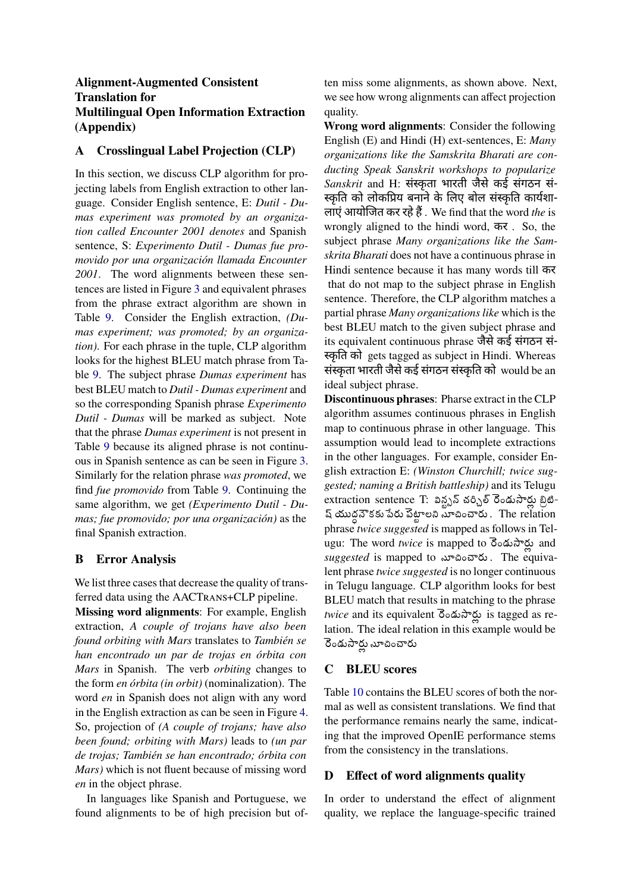## **Alignment-Augmented Consistent Translation for Multilingual Open Information Extraction (Appendix)**

## <span id="page-12-0"></span>**A Crosslingual Label Projection (CLP)**

In this section, we discuss CLP algorithm for projecting labels from English extraction to other language. Consider English sentence, E: *Dutil - Dumas experiment was promoted by an organization called Encounter 2001 denotes* and Spanish sentence, S: *Experimento Dutil - Dumas fue promovido por una organización llamada Encounter 2001*. The word alignments between these sentences are listed in Figure [3](#page-13-0) and equivalent phrases from the phrase extract algorithm are shown in Table [9.](#page-13-1) Consider the English extraction, *(Dumas experiment; was promoted; by an organization)*. For each phrase in the tuple, CLP algorithm looks for the highest BLEU match phrase from Table [9](#page-13-1). The subject phrase *Dumas experiment* has best BLEU match to *Dutil - Dumas experiment* and so the corresponding Spanish phrase *Experimento Dutil - Dumas* will be marked as subject. Note that the phrase *Dumas experiment* is not present in Table [9](#page-13-1) because its aligned phrase is not continuous in Spanish sentence as can be seen in Figure [3](#page-13-0). Similarly for the relation phrase *was promoted*, we find *fue promovido* from Table [9](#page-13-1). Continuing the same algorithm, we get *(Experimento Dutil - Dumas; fue promovido; por una organización)* as the final Spanish extraction.

## <span id="page-12-2"></span>**B Error Analysis**

We list three cases that decrease the quality of transferred data using the AACTRANS+CLP pipeline.

**Missing word alignments**: For example, English extraction, *A couple of trojans have also been found orbiting with Mars* translates to *También se han encontrado un par de trojas en órbita con Mars* in Spanish. The verb *orbiting* changes to the form *en órbita (in orbit)* (nominalization). The word *en* in Spanish does not align with any word in the English extraction as can be seen in Figure [4](#page-13-2). So, projection of *(A couple of trojans; have also been found; orbiting with Mars)* leads to *(un par de trojas; También se han encontrado; órbita con Mars)* which is not fluent because of missing word *en* in the object phrase.

In languages like Spanish and Portuguese, we found alignments to be of high precision but often miss some alignments, as shown above. Next, we see how wrong alignments can affect projection quality.

**Wrong word alignments**: Consider the following English (E) and Hindi (H) ext-sentences, E: *Many organizations like the Samskrita Bharati are conducting Speak Sanskrit workshops to popularize Sanskrit* and H: संस्कृता भारती जैसे कई संगठन सं-स्कृति को लोकप्रिय बनाने के लिए बोल संस्कृति कार्यशा-लाएं आयोɣजत कर रहे हैं. We find that the word *the* is wrongly aligned to the hindi word, कर . So, the subject phrase *Many organizations like the Samskrita Bharati* does not have a continuous phrase in Hindi sentence because it has many words till कर that do not map to the subject phrase in English sentence. Therefore, the CLP algorithm matches a partial phrase *Many organizations like* which is the best BLEU match to the given subject phrase and its equivalent continuous phrase जैसे कई संगठन सं- स्कृति को gets tagged as subject in Hindi. Whereas संस्कृता भारती जैसे कई संगठन संस्कृति को would be an ideal subject phrase.

**Discontinuous phrases**: Pharse extract in the CLP algorithm assumes continuous phrases in English map to continuous phrase in other language. This assumption would lead to incomplete extractions in the other languages. For example, consider English extraction E: *(Winston Churchill; twice suggested; naming a British battleship)* and its Telugu extraction sentence T: విన్ట్సన్ చర్చిల్ రెండుసార్లు బ్రిటి-ష్యుద ధ్ నౌకకు పేరు పెటాట్ లని సూచించారు . The relation phrase *twice suggested* is mapped as follows in Telugu: The word *twice* is mapped to రెండుసార్లు and *suggested* is mapped to సూచించారు . The equivalent phrase *twice suggested* is no longer continuous in Telugu language. CLP algorithm looks for best BLEU match that results in matching to the phrase *twice* and its equivalent రెండుసార్లు is tagged as relation. The ideal relation in this example would be రెండుసార్లు నూచించారు

## <span id="page-12-1"></span>**C BLEU scores**

Table [10](#page-14-1) contains the BLEU scores of both the normal as well as consistent translations. We find that the performance remains nearly the same, indicating that the improved OpenIE performance stems from the consistency in the translations.

## **D Effect of word alignments quality**

In order to understand the effect of alignment quality, we replace the language-specific trained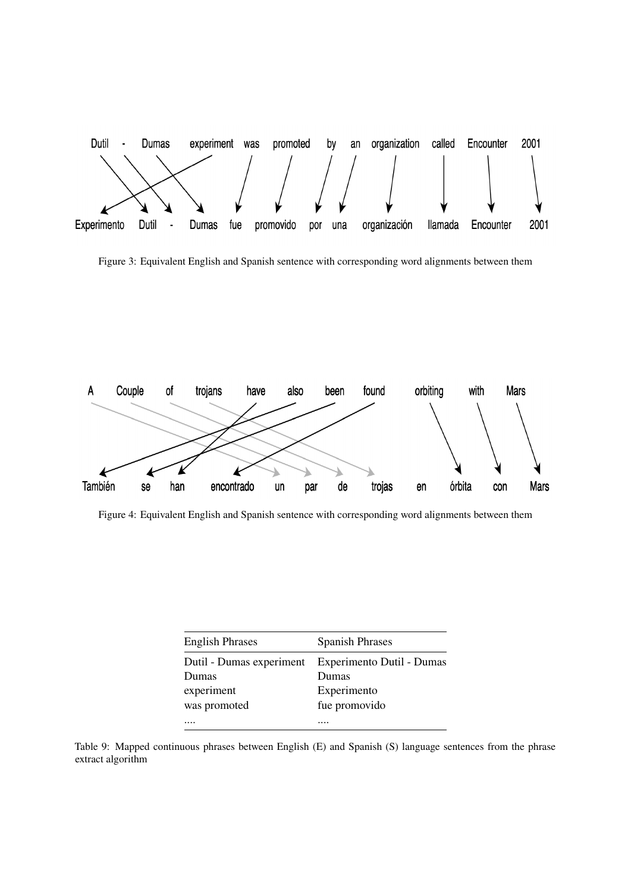<span id="page-13-0"></span>

Figure 3: Equivalent English and Spanish sentence with corresponding word alignments between them

<span id="page-13-2"></span>

Figure 4: Equivalent English and Spanish sentence with corresponding word alignments between them

<span id="page-13-1"></span>

| <b>English Phrases</b>   | <b>Spanish Phrases</b>    |
|--------------------------|---------------------------|
| Dutil - Dumas experiment | Experimento Dutil - Dumas |
| Dumas                    | Dumas                     |
| experiment               | Experimento               |
| was promoted             | fue promovido             |
|                          |                           |

Table 9: Mapped continuous phrases between English (E) and Spanish (S) language sentences from the phrase extract algorithm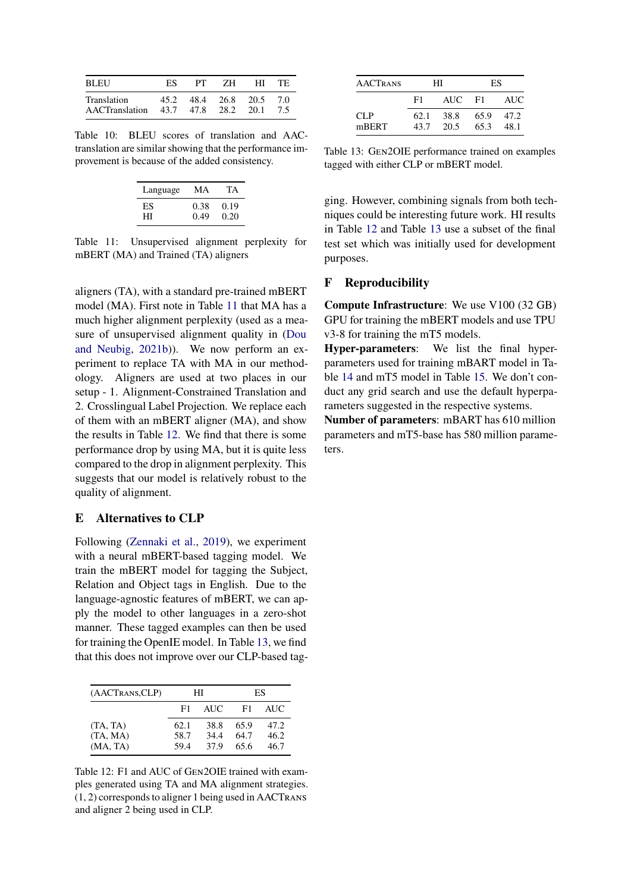<span id="page-14-1"></span>

| <b>BLEU</b>                                       | ES.  | PT. | ZH -               | HT. | TE. |
|---------------------------------------------------|------|-----|--------------------|-----|-----|
| Translation<br>AACTranslation 43.7 47.8 28.2 20.1 | 45.2 |     | 48.4 26.8 20.5 7.0 |     | 7.5 |

<span id="page-14-2"></span>Table 10: BLEU scores of translation and AACtranslation are similar showing that the performance improvement is because of the added consistency.

| Language | MА   | TА   |
|----------|------|------|
| ES       | 0.38 | 0.19 |
| HІ       | 0.49 | 0.20 |

Table 11: Unsupervised alignment perplexity for mBERT (MA) and Trained (TA) aligners

aligners (TA), with a standard pre-trained mBERT model (MA). First note in Table [11](#page-14-2) that MA has a much higher alignment perplexity (used as a measure of unsupervised alignment quality in [\(Dou](#page-9-20) [and Neubig,](#page-9-20) [2021b\)](#page-9-20)). We now perform an experiment to replace TA with MA in our methodology. Aligners are used at two places in our setup - 1. Alignment-Constrained Translation and 2. Crosslingual Label Projection. We replace each of them with an mBERT aligner (MA), and show the results in Table [12.](#page-14-3) We find that there is some performance drop by using MA, but it is quite less compared to the drop in alignment perplexity. This suggests that our model is relatively robust to the quality of alignment.

## **E Alternatives to CLP**

Following ([Zennaki et al.,](#page-11-5) [2019](#page-11-5)), we experiment with a neural mBERT-based tagging model. We train the mBERT model for tagging the Subject, Relation and Object tags in English. Due to the language-agnostic features of mBERT, we can apply the model to other languages in a zero-shot manner. These tagged examples can then be used for training the OpenIE model. In Table [13](#page-14-4), we find that this does not improve over our CLP-based tag-

<span id="page-14-3"></span>

| (AACTRANS,CLP) |      | HІ   |      | ES   |
|----------------|------|------|------|------|
|                | F1   | AUC. | F1   | AUC. |
| (TA, TA)       | 62.1 | 38.8 | 65.9 | 47.2 |
| (TA, MA)       | 58.7 | 34.4 | 64.7 | 46.2 |
| (MA, TA)       | 59.4 | 37.9 | 65.6 | 46.7 |

Table 12: F1 and AUC of GEN2OIE trained with examples generated using TA and MA alignment strategies. (1, 2) corresponds to aligner 1 being used in AACTRANS and aligner 2 being used in CLP.

<span id="page-14-4"></span>

| <b>AACTRANS</b> | HІ           |              | ES           |              |
|-----------------|--------------|--------------|--------------|--------------|
|                 | F1           | <b>AUC</b>   | - F1         | AUC.         |
| CLP<br>mBERT    | 62.1<br>43.7 | 38.8<br>20.5 | 65.9<br>65.3 | 47.2<br>48.1 |

Table 13: GEN2OIE performance trained on examples tagged with either CLP or mBERT model.

ging. However, combining signals from both techniques could be interesting future work. HI results in Table [12](#page-14-3) and Table [13](#page-14-4) use a subset of the final test set which was initially used for development purposes.

## <span id="page-14-0"></span>**F Reproducibility**

**Compute Infrastructure**: We use V100 (32 GB) GPU for training the mBERT models and use TPU v3-8 for training the mT5 models.

**Hyper-parameters**: We list the final hyperparameters used for training mBART model in Table [14](#page-15-0) and mT5 model in Table [15.](#page-15-1) We don't conduct any grid search and use the default hyperparameters suggested in the respective systems.

**Number of parameters**: mBART has 610 million parameters and mT5-base has 580 million parameters.